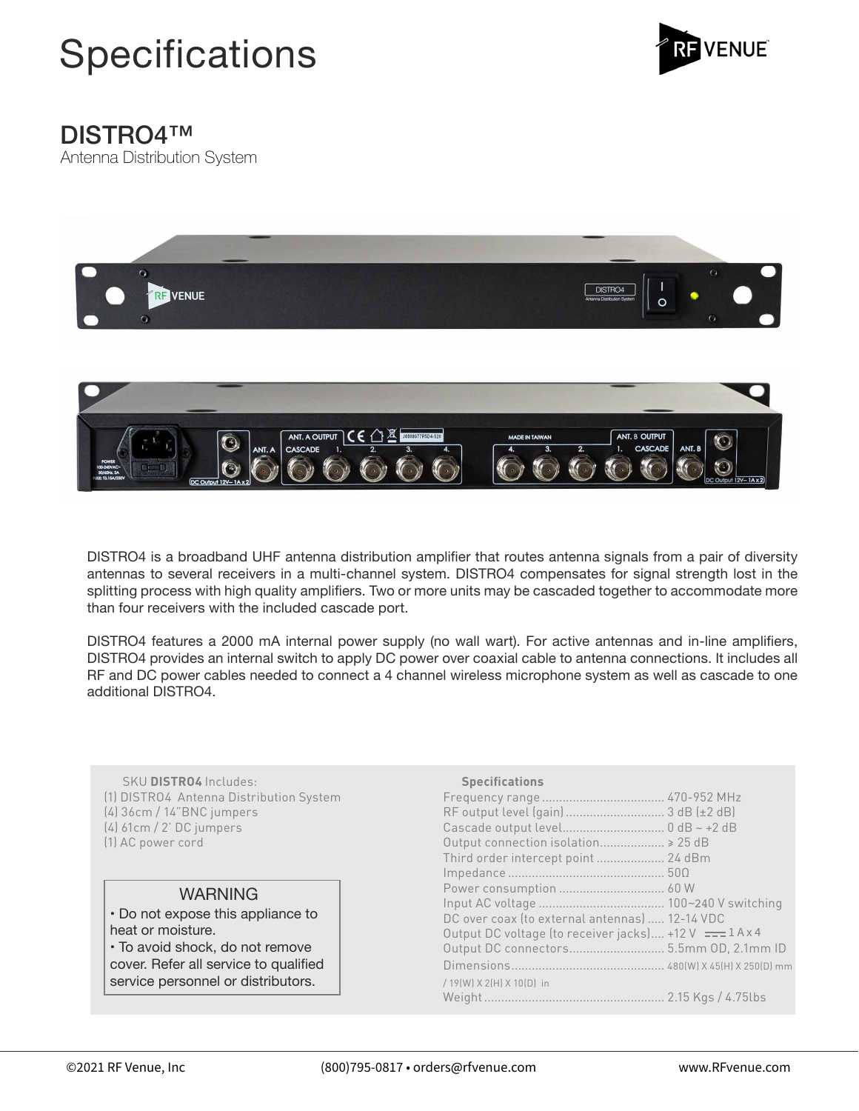



## DISTRO4™

Antenna Distribution System



DISTRO4 is a broadband UHF antenna distribution amplifier that routes antenna signals from a pair of diversity antennas to several receivers in a multi-channel system. DISTRO4 compensates for signal strength lost in the splitting process with high quality amplifiers. Two or more units may be cascaded together to accommodate more than four receivers with the included cascade port.

DISTRO4 features a 2000 mA internal power supply (no wall wart). For active antennas and in-line amplifiers, DISTRO4 provides an internal switch to apply DC power over coaxial cable to antenna connections. It includes all RF and DC power cables needed to connect a 4 channel wireless microphone system as well as cascade to one additional DISTRO4.

 SKU **DISTRO4** Includes: (1) DISTRO4 Antenna Distribution System (4) 36cm / 14"BNC jumpers (4) 61cm / 2' DC jumpers (1) AC power cord

## WARNING

• Do not expose this appliance to heat or moisture. • To avoid shock, do not remove

cover. Refer all service to qualified service personnel or distributors.

| <b>Specifications</b>                                   |  |
|---------------------------------------------------------|--|
|                                                         |  |
| RF output level (gain)  3 dB (±2 dB)                    |  |
|                                                         |  |
| Output connection isolation > 25 dB                     |  |
| Third order intercept point  24 dBm                     |  |
|                                                         |  |
|                                                         |  |
|                                                         |  |
| DC over coax (to external antennas)  12-14 VDC          |  |
| Output DC voltage (to receiver jacks) +12 V === 1 A x 4 |  |
| Output DC connectors 5.5mm OD, 2.1mm ID                 |  |
|                                                         |  |
| / 19(W) X 2(H) X 10(D) in                               |  |
|                                                         |  |